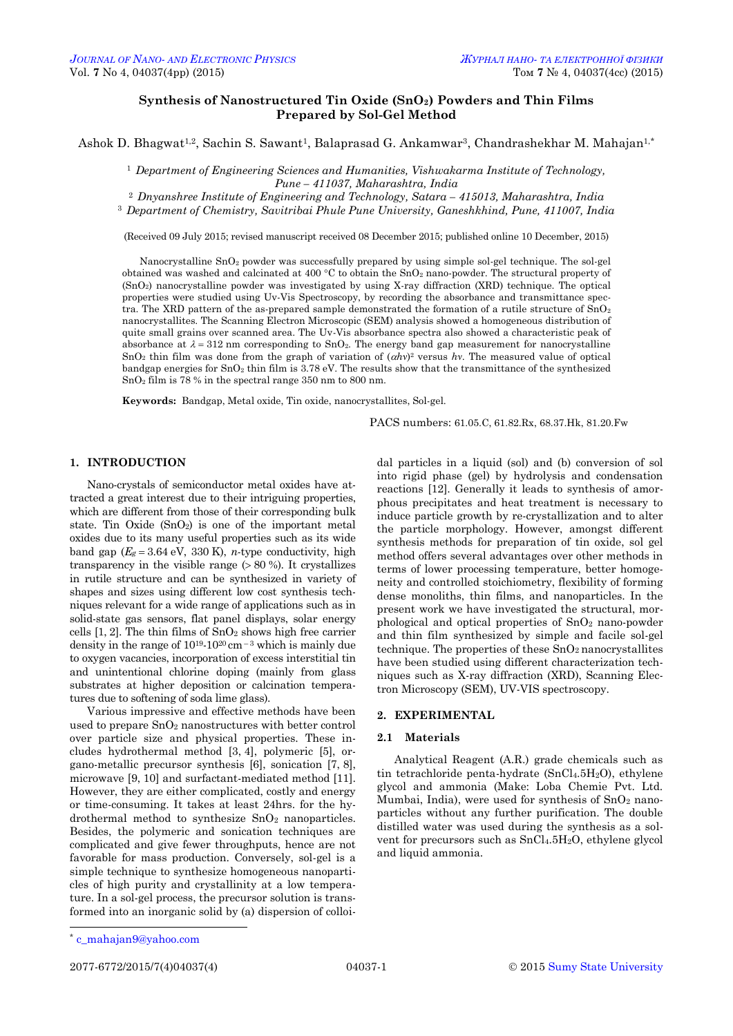# **Synthesis of Nanostructured Tin Oxide (SnO2) Powders and Thin Films Prepared by Sol-Gel Method**

Ashok D. Bhagwat<sup>1,2</sup>, Sachin S. Sawant<sup>1</sup>, Balaprasad G. Ankamwar<sup>3</sup>, Chandrashekhar M. Mahajan<sup>1,\*</sup>

<sup>1</sup> *Department of Engineering Sciences and Humanities, Vishwakarma Institute of Technology, Pune – 411037, Maharashtra, India*

<sup>2</sup> *Dnyanshree Institute of Engineering and Technology, Satara – 415013, Maharashtra, India* <sup>3</sup> *Department of Chemistry, Savitribai Phule Pune University, Ganeshkhind, Pune, 411007, India*

(Received 09 July 2015; revised manuscript received 08 December 2015; published online 10 December, 2015)

Nanocrystalline SnO<sup>2</sup> powder was successfully prepared by using simple sol-gel technique. The sol-gel obtained was washed and calcinated at 400 °C to obtain the  $SnO<sub>2</sub>$  nano-powder. The structural property of (SnO2) nanocrystalline powder was investigated by using X-ray diffraction (XRD) technique. The optical properties were studied using Uv-Vis Spectroscopy, by recording the absorbance and transmittance spectra. The XRD pattern of the as-prepared sample demonstrated the formation of a rutile structure of  $\text{SnO}_2$ nanocrystallites. The Scanning Electron Microscopic (SEM) analysis showed a homogeneous distribution of quite small grains over scanned area. The Uv-Vis absorbance spectra also showed a characteristic peak of absorbance at  $\lambda = 312$  nm corresponding to SnO<sub>2</sub>. The energy band gap measurement for nanocrystalline SnO<sub>2</sub> thin film was done from the graph of variation of  $(ahv)^2$  versus *hv*. The measured value of optical bandgap energies for  $SnO<sub>2</sub>$  thin film is 3.78 eV. The results show that the transmittance of the synthesized SnO<sup>2</sup> film is 78 % in the spectral range 350 nm to 800 nm.

**Keywords:** Bandgap, Metal oxide, Tin oxide, nanocrystallites, Sol-gel.

PACS numbers: 61.05.C, 61.82.Rx, 68.37.Hk, 81.20.Fw

# **1. INTRODUCTION**

Nano-crystals of semiconductor metal oxides have attracted a great interest due to their intriguing properties, which are different from those of their corresponding bulk state. Tin Oxide  $(SnO<sub>2</sub>)$  is one of the important metal oxides due to its many useful properties such as its wide band gap  $(E_g = 3.64 \text{ eV}, 330 \text{ K})$ , *n*-type conductivity, high transparency in the visible range  $( > 80 \%)$ . It crystallizes in rutile structure and can be synthesized in variety of shapes and sizes using different low cost synthesis techniques relevant for a wide range of applications such as in solid-state gas sensors, flat panel displays, solar energy cells  $[1, 2]$ . The thin films of  $SnO<sub>2</sub>$  shows high free carrier density in the range of  $10^{19}$ - $10^{20}$  cm<sup>-3</sup> which is mainly due to oxygen vacancies, incorporation of excess interstitial tin and unintentional chlorine doping (mainly from glass substrates at higher deposition or calcination temperatures due to softening of soda lime glass).

Various impressive and effective methods have been used to prepare SnO<sup>2</sup> nanostructures with better control over particle size and physical properties. These includes hydrothermal method [3, 4], polymeric [5], organo-metallic precursor synthesis [6], sonication [7, 8], microwave [9, 10] and surfactant-mediated method [11]. However, they are either complicated, costly and energy or time-consuming. It takes at least 24hrs. for the hydrothermal method to synthesize  $SnO<sub>2</sub>$  nanoparticles. Besides, the polymeric and sonication techniques are complicated and give fewer throughputs, hence are not favorable for mass production. Conversely, sol-gel is a simple technique to synthesize homogeneous nanoparticles of high purity and crystallinity at a low temperature. In a sol-gel process, the precursor solution is transformed into an inorganic solid by (a) dispersion of colloidal particles in a liquid (sol) and (b) conversion of sol into rigid phase (gel) by hydrolysis and condensation reactions [12]. Generally it leads to synthesis of amorphous precipitates and heat treatment is necessary to induce particle growth by re-crystallization and to alter the particle morphology. However, amongst different synthesis methods for preparation of tin oxide, sol gel method offers several advantages over other methods in terms of lower processing temperature, better homogeneity and controlled stoichiometry, flexibility of forming dense monoliths, thin films, and nanoparticles. In the present work we have investigated the structural, morphological and optical properties of SnO<sup>2</sup> nano-powder and thin film synthesized by simple and facile sol-gel technique. The properties of these  $SnO<sub>2</sub>$  nanocrystallites have been studied using different characterization techniques such as X-ray diffraction (XRD), Scanning Electron Microscopy (SEM), UV-VIS spectroscopy.

# **2. EXPERIMENTAL**

### **2.1 Materials**

Analytical Reagent (A.R.) grade chemicals such as tin tetrachloride penta-hydrate (SnCl4.5H2O), ethylene glycol and ammonia (Make: Loba Chemie Pvt. Ltd. Mumbai, India), were used for synthesis of  $SnO<sub>2</sub>$  nanoparticles without any further purification. The double distilled water was used during the synthesis as a solvent for precursors such as SnCl4.5H2O, ethylene glycol and liquid ammonia.

1

<span id="page-0-3"></span><span id="page-0-2"></span><span id="page-0-1"></span><span id="page-0-0"></span>

<sup>\*</sup> [c\\_mahajan9@yahoo.com](mailto:c_mahajan9@yahoo.com)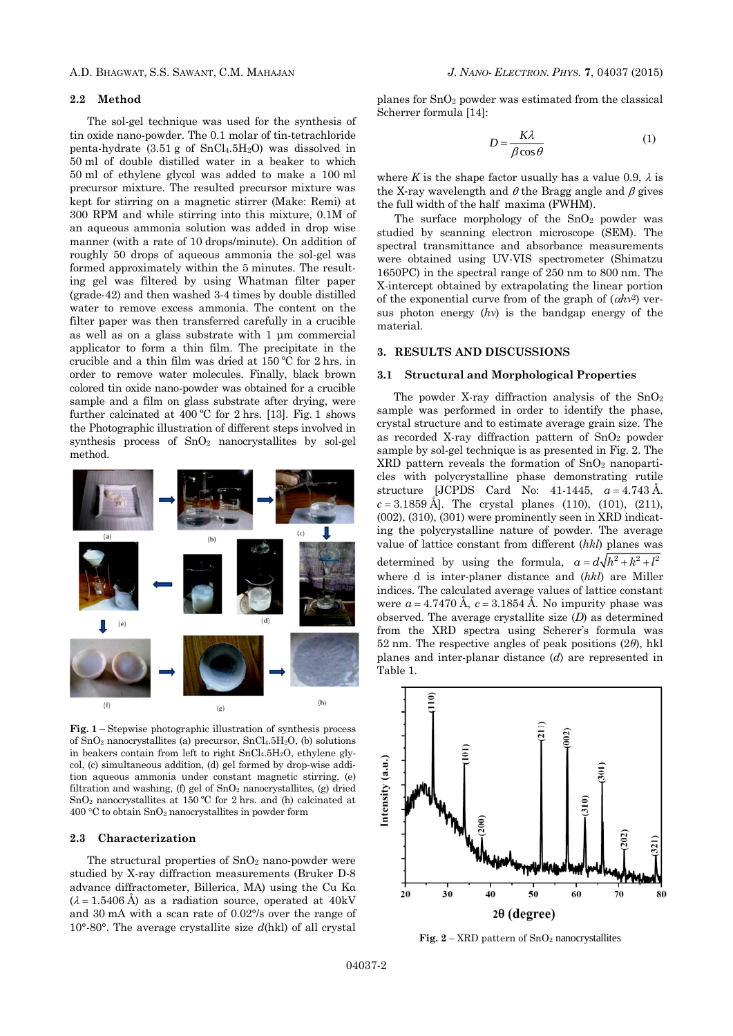# **2.2 Method**

The sol-gel technique was used for the synthesis of tin oxide nano-powder. The 0.1 molar of tin-tetrachloride penta-hydrate  $(3.51 \text{ g of SnCl}_4.5H_2O)$  was dissolved in 50 ml of double distilled water in a beaker to which 50 ml of ethylene glycol was added to make a 100 ml precursor mixture. The resulted precursor mixture was kept for stirring on a magnetic stirrer (Make: Remi) at 300 RPM and while stirring into this mixture, 0.1M of an aqueous ammonia solution was added in drop wise manner (with a rate of 10 drops/minute). On addition of roughly 50 drops of aqueous ammonia the sol-gel was formed approximately within the 5 minutes. The resulting gel was filtered by using Whatman filter paper (grade-42) and then washed 3-4 times by double distilled water to remove excess ammonia. The content on the filter paper was then transferred carefully in a crucible as well as on a glass substrate with 1 μm commercial applicator to form a thin film. The precipitate in the crucible and a thin film was dried at 150 ºC for 2 hrs. in order to remove water molecules. Finally, black brown colored tin oxide nano-powder was obtained for a crucible sample and a film on glass substrate after drying, were further calcinated at  $400\degree$ C for 2 hrs. [13]. Fig. 1 shows the Photographic illustration of different steps involved in synthesis process of SnO<sup>2</sup> nanocrystallites by sol-gel method.



**Fig. 1** – Stepwise photographic illustration of synthesis process of  $SnO<sub>2</sub>$  nanocrystallites (a) precursor,  $SnCl<sub>4</sub>.5H<sub>2</sub>O$ , (b) solutions in beakers contain from left to right  $SnCl<sub>4</sub>.5H<sub>2</sub>O$ , ethylene glycol, (c) simultaneous addition, (d) gel formed by drop-wise addition aqueous ammonia under constant magnetic stirring, (e) filtration and washing, (f) gel of  $SnO<sub>2</sub>$  nanocrystallites, (g) dried SnO<sup>2</sup> nanocrystallites at 150 ºC for 2 hrs. and (h) calcinated at  $400 °C$  to obtain SnO<sub>2</sub> nanocrystallites in powder form

#### **2.3 Characterization**

The structural properties of  $SnO<sub>2</sub>$  nano-powder were studied by X-ray diffraction measurements (Bruker D-8 advance diffractometer, Billerica, MA) using the Cu Kα  $(\lambda = 1.5406 \text{ Å})$  as a radiation source, operated at 40kV and 30 mA with a scan rate of 0.02°/s over the range of 10°-80°. The average crystallite size *d*(hkl) of all crystal

planes for SnO<sup>2</sup> powder was estimated from the classical Scherrer formula [14]:

$$
D = \frac{K\lambda}{\beta\cos\theta} \tag{1}
$$

where *K* is the shape factor usually has a value 0.9,  $\lambda$  is the X-ray wavelength and  $\theta$  the Bragg angle and  $\beta$  gives the full width of the half maxima (FWHM).

The surface morphology of the  $SnO<sub>2</sub>$  powder was studied by scanning electron microscope (SEM). The spectral transmittance and absorbance measurements were obtained using UV-VIS spectrometer (Shimatzu 1650PC) in the spectral range of 250 nm to 800 nm. The X-intercept obtained by extrapolating the linear portion of the exponential curve from of the graph of  $(ahv^2)$  versus photon energy (*hν*) is the bandgap energy of the material.

## **3. RESULTS AND DISCUSSIONS**

#### **3.1 Structural and Morphological Properties**

The powder X-ray diffraction analysis of the  $SnO<sub>2</sub>$ sample was performed in order to identify the phase, crystal structure and to estimate average grain size. The as recorded X-ray diffraction pattern of  $SnO<sub>2</sub>$  powder sample by sol-gel technique is as presented in Fig. 2. The XRD pattern reveals the formation of SnO<sup>2</sup> nanoparticles with polycrystalline phase demonstrating rutile structure [JCPDS Card No: 41-1445,  $a = 4.743 \text{ Å}.$  $c = 3.1859$  Å. The crystal planes (110), (101), (211), (002), (310), (301) were prominently seen in XRD indicating the polycrystalline nature of powder. The average value of lattice constant from different (*hkl*) planes was determined by using the formula,  $a = d\sqrt{h^2 + k^2 + l^2}$ where d is inter-planer distance and (*hkl*) are Miller indices. The calculated average values of lattice constant were  $a = 4.7470 \text{ Å}$ ,  $c = 3.1854 \text{ Å}$ . No impurity phase was observed. The average crystallite size (*D*) as determined from the XRD spectra using Scherer's formula was 52 nm. The respective angles of peak positions (2*θ*), hkl planes and inter-planar distance (*d*) are represented in Table 1.



**Fig.**  $2 - \text{XRD}$  pattern of  $\text{SnO}_2$  nanocrystallites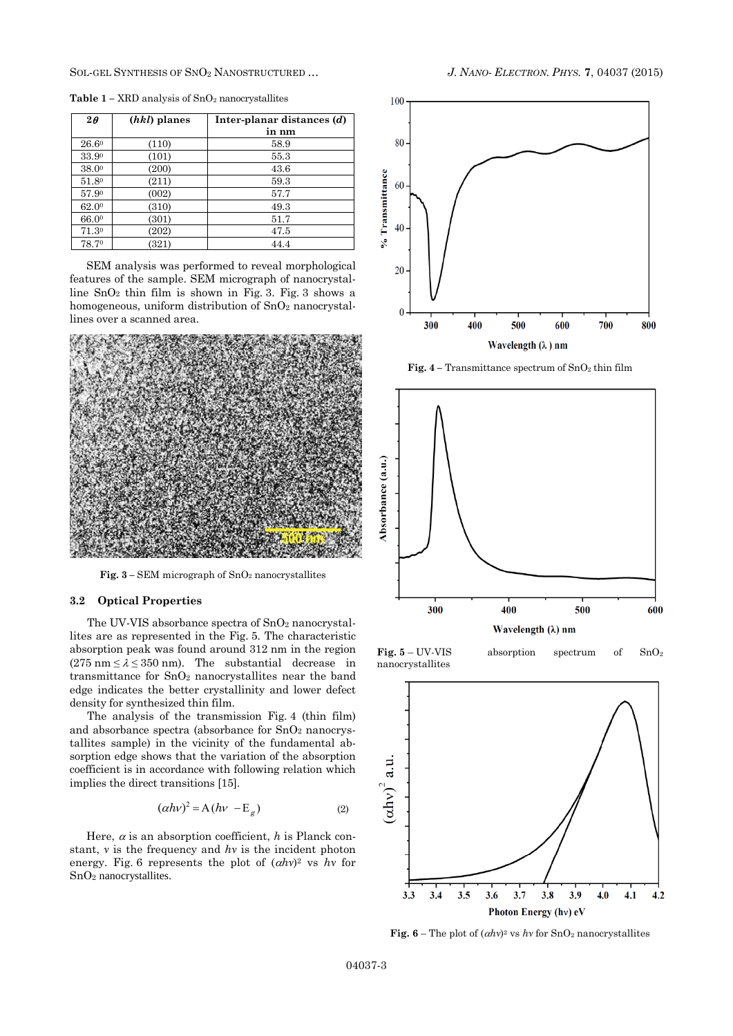SOL-GEL SYNTHESIS OF SNO<sup>2</sup> NANOSTRUCTURED … *J. NANO- ELECTRON. PHYS.* **[7](#page-0-2)**, [04037](#page-0-2) [\(2015\)](#page-0-2)

| $2\theta$ | ( <i>hkl</i> ) planes | Inter-planar distances $(d)$<br>in nm |
|-----------|-----------------------|---------------------------------------|
| 26.60     | (110)                 | 58.9                                  |
| 33.90     | (101)                 | 55.3                                  |
| 38.00     | (200)                 | 43.6                                  |
| 51.80     | (211)                 | 59.3                                  |
| 57.90     | (002)                 | 57.7                                  |
| 62.00     | (310)                 | 49.3                                  |
| 66.00     | (301)                 | 51.7                                  |
| 71.30     | (202)                 | 47.5                                  |
| 78.70     | (321)                 | 44.4                                  |

**Table**  $1 - \text{XRD}$  analysis of  $\text{SnO}_2$  nanocrystallites

SEM analysis was performed to reveal morphological features of the sample. SEM micrograph of nanocrystalline  $SnO<sub>2</sub>$  thin film is shown in Fig. 3. Fig. 3 shows a homogeneous, uniform distribution of  $SnO<sub>2</sub>$  nanocrystallines over a scanned area.



**Fig. 3 –** SEM micrograph of SnO<sup>2</sup> nanocrystallites

# **3.2 Optical Properties**

The UV-VIS absorbance spectra of SnO<sub>2</sub> nanocrystallites are as represented in the Fig. 5. The characteristic absorption peak was found around 312 nm in the region  $(275 \text{ nm} \le \lambda \le 350 \text{ nm})$ . The substantial decrease in transmittance for SnO<sup>2</sup> nanocrystallites near the band edge indicates the better crystallinity and lower defect density for synthesized thin film.

The analysis of the transmission Fig. 4 (thin film) and absorbance spectra (absorbance for  $SnO<sub>2</sub>$  nanocrystallites sample) in the vicinity of the fundamental absorption edge shows that the variation of the absorption coefficient is in accordance with following relation which implies the direct transitions [15].

$$
(\alpha h v)^2 = A (h v - E_g) \tag{2}
$$

Here,  $\alpha$  is an absorption coefficient, *h* is Planck constant, *ν* is the frequency and *hν* is the incident photon energy. Fig. 6 represents the plot of  $(\alpha h\nu)^2$  vs *hv* for SnO<sup>2</sup> nanocrystallites.



**Fig. 4 –** Transmittance spectrum of SnO<sup>2</sup> thin film



**Fig. 5** – UV-VIS absorption spectrum of SnO<sup>2</sup> nanocrystallites



**Fig.** 6 – The plot of  $(\alpha h v)^2$  vs *hv* for SnO<sub>2</sub> nanocrystallites